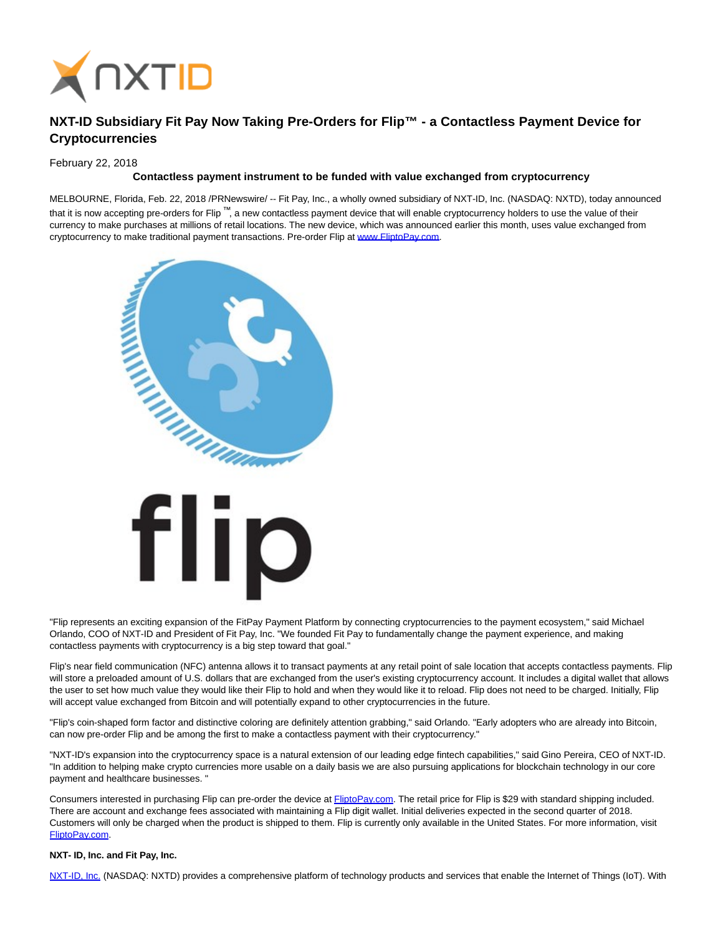

## **NXT-ID Subsidiary Fit Pay Now Taking Pre-Orders for Flip™ - a Contactless Payment Device for Cryptocurrencies**

February 22, 2018

## **Contactless payment instrument to be funded with value exchanged from cryptocurrency**

MELBOURNE, Florida, Feb. 22, 2018 /PRNewswire/ -- Fit Pay, Inc., a wholly owned subsidiary of NXT-ID, Inc. (NASDAQ: NXTD), today announced that it is now accepting pre-orders for Flip ™, a new contactless payment device that will enable cryptocurrency holders to use the value of their currency to make purchases at millions of retail locations. The new device, which was announced earlier this month, uses value exchanged from cryptocurrency to make traditional payment transactions. Pre-order Flip at [www.FliptoPay.com.](http://www.fliptopay.com/)



"Flip represents an exciting expansion of the FitPay Payment Platform by connecting cryptocurrencies to the payment ecosystem," said Michael Orlando, COO of NXT-ID and President of Fit Pay, Inc. "We founded Fit Pay to fundamentally change the payment experience, and making contactless payments with cryptocurrency is a big step toward that goal."

Flip's near field communication (NFC) antenna allows it to transact payments at any retail point of sale location that accepts contactless payments. Flip will store a preloaded amount of U.S. dollars that are exchanged from the user's existing cryptocurrency account. It includes a digital wallet that allows the user to set how much value they would like their Flip to hold and when they would like it to reload. Flip does not need to be charged. Initially, Flip will accept value exchanged from Bitcoin and will potentially expand to other cryptocurrencies in the future.

"Flip's coin-shaped form factor and distinctive coloring are definitely attention grabbing," said Orlando. "Early adopters who are already into Bitcoin, can now pre-order Flip and be among the first to make a contactless payment with their cryptocurrency."

"NXT-ID's expansion into the cryptocurrency space is a natural extension of our leading edge fintech capabilities," said Gino Pereira, CEO of NXT-ID. "In addition to helping make crypto currencies more usable on a daily basis we are also pursuing applications for blockchain technology in our core payment and healthcare businesses. "

Consumers interested in purchasing Flip can pre-order the device at **FliptoPay.com**. The retail price for Flip is \$29 with standard shipping included. There are account and exchange fees associated with maintaining a Flip digit wallet. Initial deliveries expected in the second quarter of 2018. Customers will only be charged when the product is shipped to them. Flip is currently only available in the United States. For more information, visit [FliptoPay.com.](http://www.fliptopay.com/)

## **NXT- ID, Inc. and Fit Pay, Inc.**

[NXT-ID, Inc. \(](http://www.nxt-id.com/)NASDAQ: NXTD) provides a comprehensive platform of technology products and services that enable the Internet of Things (IoT). With